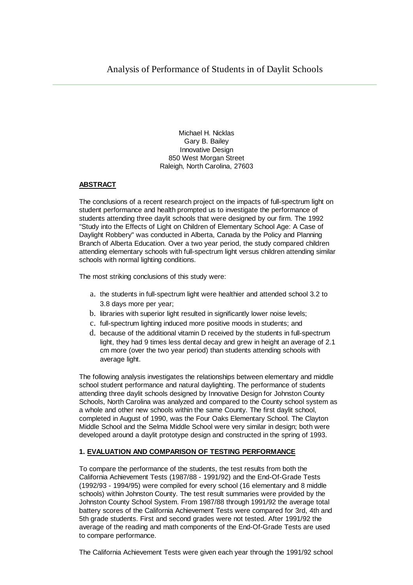Michael H. Nicklas Gary B. Bailey Innovative Design 850 West Morgan Street Raleigh, North Carolina, 27603

# **ABSTRACT**

The conclusions of a recent research project on the impacts of full-spectrum light on student performance and health prompted us to investigate the performance of students attending three daylit schools that were designed by our firm. The 1992 "Study into the Effects of Light on Children of Elementary School Age: A Case of Daylight Robbery" was conducted in Alberta, Canada by the Policy and Planning Branch of Alberta Education. Over a two year period, the study compared children attending elementary schools with full-spectrum light versus children attending similar schools with normal lighting conditions.

The most striking conclusions of this study were:

- a. the students in full-spectrum light were healthier and attended school 3.2 to 3.8 days more per year;
- b. libraries with superior light resulted in significantly lower noise levels;
- c. full-spectrum lighting induced more positive moods in students; and
- d. because of the additional vitamin D received by the students in full-spectrum light, they had 9 times less dental decay and grew in height an average of 2.1 cm more (over the two year period) than students attending schools with average light.

The following analysis investigates the relationships between elementary and middle school student performance and natural daylighting. The performance of students attending three daylit schools designed by Innovative Design for Johnston County Schools, North Carolina was analyzed and compared to the County school system as a whole and other new schools within the same County. The first daylit school, completed in August of 1990, was the Four Oaks Elementary School. The Clayton Middle School and the Selma Middle School were very similar in design; both were developed around a daylit prototype design and constructed in the spring of 1993.

## **1. EVALUATION AND COMPARISON OF TESTING PERFORMANCE**

To compare the performance of the students, the test results from both the California Achievement Tests (1987/88 - 1991/92) and the End-Of-Grade Tests (1992/93 - 1994/95) were compiled for every school (16 elementary and 8 middle schools) within Johnston County. The test result summaries were provided by the Johnston County School System. From 1987/88 through 1991/92 the average total battery scores of the California Achievement Tests were compared for 3rd, 4th and 5th grade students. First and second grades were not tested. After 1991/92 the average of the reading and math components of the End-Of-Grade Tests are used to compare performance.

The California Achievement Tests were given each year through the 1991/92 school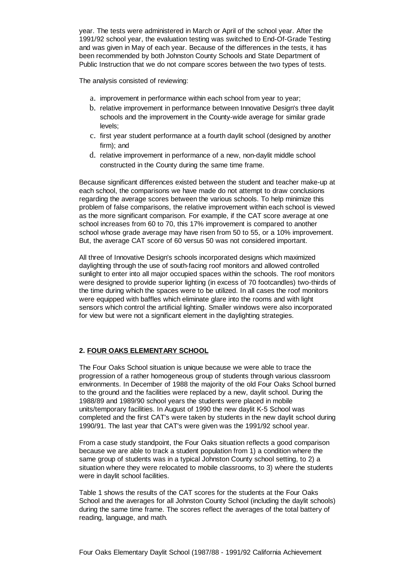year. The tests were administered in March or April of the school year. After the 1991/92 school year, the evaluation testing was switched to End-Of-Grade Testing and was given in May of each year. Because of the differences in the tests, it has been recommended by both Johnston County Schools and State Department of Public Instruction that we do not compare scores between the two types of tests.

The analysis consisted of reviewing:

- a. improvement in performance within each school from year to year;
- b. relative improvement in performance between Innovative Design's three daylit schools and the improvement in the County-wide average for similar grade levels;
- c. first year student performance at a fourth daylit school (designed by another firm); and
- d. relative improvement in performance of a new, non-daylit middle school constructed in the County during the same time frame.

Because significant differences existed between the student and teacher make-up at each school, the comparisons we have made do not attempt to draw conclusions regarding the average scores between the various schools. To help minimize this problem of false comparisons, the relative improvement within each school is viewed as the more significant comparison. For example, if the CAT score average at one school increases from 60 to 70, this 17% improvement is compared to another school whose grade average may have risen from 50 to 55, or a 10% improvement. But, the average CAT score of 60 versus 50 was not considered important.

All three of Innovative Design's schools incorporated designs which maximized daylighting through the use of south-facing roof monitors and allowed controlled sunlight to enter into all major occupied spaces within the schools. The roof monitors were designed to provide superior lighting (in excess of 70 footcandles) two-thirds of the time during which the spaces were to be utilized. In all cases the roof monitors were equipped with baffles which eliminate glare into the rooms and with light sensors which control the artificial lighting. Smaller windows were also incorporated for view but were not a significant element in the daylighting strategies.

# **2. FOUR OAKS ELEMENTARY SCHOOL**

The Four Oaks School situation is unique because we were able to trace the progression of a rather homogeneous group of students through various classroom environments. In December of 1988 the majority of the old Four Oaks School burned to the ground and the facilities were replaced by a new, daylit school. During the 1988/89 and 1989/90 school years the students were placed in mobile units/temporary facilities. In August of 1990 the new daylit K-5 School was completed and the first CAT's were taken by students in the new daylit school during 1990/91. The last year that CAT's were given was the 1991/92 school year.

From a case study standpoint, the Four Oaks situation reflects a good comparison because we are able to track a student population from 1) a condition where the same group of students was in a typical Johnston County school setting, to 2) a situation where they were relocated to mobile classrooms, to 3) where the students were in daylit school facilities.

Table 1 shows the results of the CAT scores for the students at the Four Oaks School and the averages for all Johnston County School (including the daylit schools) during the same time frame. The scores reflect the averages of the total battery of reading, language, and math.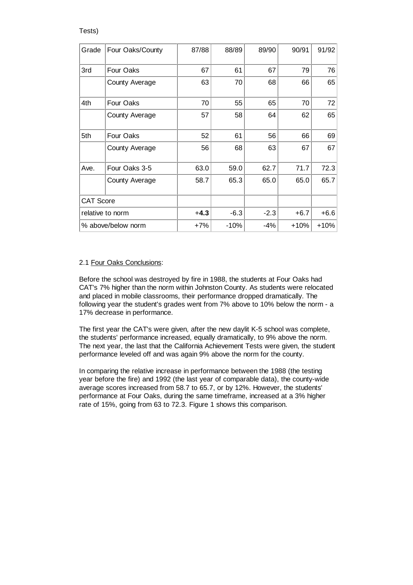#### Tests)

| Grade              | Four Oaks/County | 87/88  | 88/89  | 89/90  | 90/91  | 91/92  |
|--------------------|------------------|--------|--------|--------|--------|--------|
| 3rd                | Four Oaks        | 67     | 61     | 67     | 79     | 76     |
|                    | County Average   | 63     | 70     | 68     | 66     | 65     |
| 4th                | Four Oaks        | 70     | 55     | 65     | 70     | 72     |
|                    | County Average   | 57     | 58     | 64     | 62     | 65     |
| 5th                | Four Oaks        | 52     | 61     | 56     | 66     | 69     |
|                    | County Average   | 56     | 68     | 63     | 67     | 67     |
| Ave.               | Four Oaks 3-5    | 63.0   | 59.0   | 62.7   | 71.7   | 72.3   |
|                    | County Average   | 58.7   | 65.3   | 65.0   | 65.0   | 65.7   |
| <b>CAT Score</b>   |                  |        |        |        |        |        |
| relative to norm   |                  | $+4.3$ | $-6.3$ | $-2.3$ | $+6.7$ | $+6.6$ |
| % above/below norm |                  | $+7%$  | $-10%$ | $-4%$  | $+10%$ | $+10%$ |

#### 2.1 Four Oaks Conclusions:

Before the school was destroyed by fire in 1988, the students at Four Oaks had CAT's 7% higher than the norm within Johnston County. As students were relocated and placed in mobile classrooms, their performance dropped dramatically. The following year the student's grades went from 7% above to 10% below the norm - a 17% decrease in performance.

The first year the CAT's were given, after the new daylit K-5 school was complete, the students' performance increased, equally dramatically, to 9% above the norm. The next year, the last that the California Achievement Tests were given, the student performance leveled off and was again 9% above the norm for the county.

In comparing the relative increase in performance between the 1988 (the testing year before the fire) and 1992 (the last year of comparable data), the county-wide average scores increased from 58.7 to 65.7, or by 12%. However, the students' performance at Four Oaks, during the same timeframe, increased at a 3% higher rate of 15%, going from 63 to 72.3. Figure 1 shows this comparison.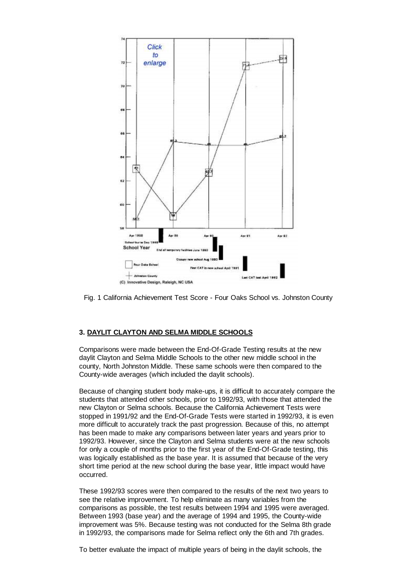

Fig. 1 California Achievement Test Score - Four Oaks School vs. Johnston County

## **3. DAYLIT CLAYTON AND SELMA MIDDLE SCHOOLS**

Comparisons were made between the End-Of-Grade Testing results at the new daylit Clayton and Selma Middle Schools to the other new middle school in the county, North Johnston Middle. These same schools were then compared to the County-wide averages (which included the daylit schools).

Because of changing student body make-ups, it is difficult to accurately compare the students that attended other schools, prior to 1992/93, with those that attended the new Clayton or Selma schools. Because the California Achievement Tests were stopped in 1991/92 and the End-Of-Grade Tests were started in 1992/93, it is even more difficult to accurately track the past progression. Because of this, no attempt has been made to make any comparisons between later years and years prior to 1992/93. However, since the Clayton and Selma students were at the new schools for only a couple of months prior to the first year of the End-Of-Grade testing, this was logically established as the base year. It is assumed that because of the very short time period at the new school during the base year, little impact would have occurred.

These 1992/93 scores were then compared to the results of the next two years to see the relative improvement. To help eliminate as many variables from the comparisons as possible, the test results between 1994 and 1995 were averaged. Between 1993 (base year) and the average of 1994 and 1995, the County-wide improvement was 5%. Because testing was not conducted for the Selma 8th grade in 1992/93, the comparisons made for Selma reflect only the 6th and 7th grades.

To better evaluate the impact of multiple years of being in the daylit schools, the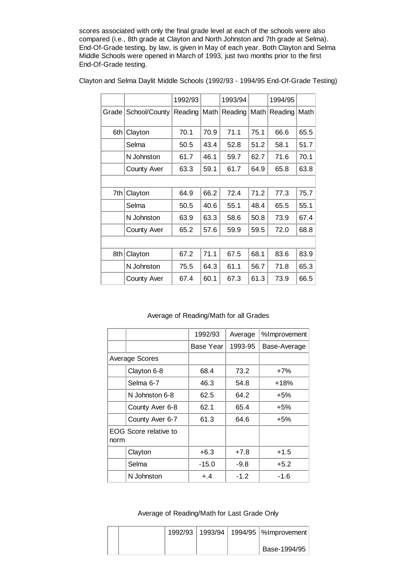scores associated with only the final grade level at each of the schools were also compared (i.e., 8th grade at Clayton and North Johnston and 7th grade at Selma). End-Of-Grade testing, by law, is given in May of each year. Both Clayton and Selma Middle Schools were opened in March of 1993, just two months prior to the first End-Of-Grade testing.

|       |                    | 1992/93 |      | 1993/94 |      | 1994/95 |      |
|-------|--------------------|---------|------|---------|------|---------|------|
| Grade | School/County      | Reading | Math | Reading | Math | Reading | Math |
| 6th   | Clayton            | 70.1    | 70.9 | 71.1    | 75.1 | 66.6    | 65.5 |
|       | Selma              | 50.5    | 43.4 | 52.8    | 51.2 | 58.1    | 51.7 |
|       | N Johnston         | 61.7    | 46.1 | 59.7    | 62.7 | 71.6    | 70.1 |
|       | <b>County Aver</b> | 63.3    | 59.1 | 61.7    | 64.9 | 65.8    | 63.8 |
|       |                    |         |      |         |      |         |      |
| 7th   | Clayton            | 64.9    | 66.2 | 72.4    | 71.2 | 77.3    | 75.7 |
|       | Selma              | 50.5    | 40.6 | 55.1    | 48.4 | 65.5    | 55.1 |
|       | N Johnston         | 63.9    | 63.3 | 58.6    | 50.8 | 73.9    | 67.4 |
|       | <b>County Aver</b> | 65.2    | 57.6 | 59.9    | 59.5 | 72.0    | 68.8 |
|       |                    |         |      |         |      |         |      |
| 8th   | Clayton            | 67.2    | 71.1 | 67.5    | 68.1 | 83.6    | 83.9 |
|       | N Johnston         | 75.5    | 64.3 | 61.1    | 56.7 | 71.8    | 65.3 |
|       | <b>County Aver</b> | 67.4    | 60.1 | 67.3    | 61.3 | 73.9    | 66.5 |

Clayton and Selma Daylit Middle Schools (1992/93 - 1994/95 End-Of-Grade Testing)

## Average of Reading/Math for all Grades

|                       |                       | 1992/93   | Average | %Improvement |
|-----------------------|-----------------------|-----------|---------|--------------|
|                       |                       | Base Year | 1993-95 | Base-Average |
| <b>Average Scores</b> |                       |           |         |              |
|                       | Clayton 6-8           | 68.4      | 73.2    | +7%          |
|                       | Selma 6-7             | 46.3      | 54.8    | $+18%$       |
|                       | N Johnston 6-8        | 62.5      | 64.2    | +5%          |
|                       | County Aver 6-8       | 62.1      | 65.4    | $+5%$        |
|                       | County Aver 6-7       | 61.3      | 64.6    | +5%          |
| norm                  | EOG Score relative to |           |         |              |
|                       | Clayton               | $+6.3$    | $+7.8$  | $+1.5$       |
|                       | Selma                 | $-15.0$   | $-9.8$  | $+5.2$       |
|                       | N Johnston            | $+, 4$    | $-1.2$  | $-1.6$       |

Average of Reading/Math for Last Grade Only

|  |  | 1992/93   1993/94   1994/95   %Improvement |
|--|--|--------------------------------------------|
|  |  | Base-1994/95                               |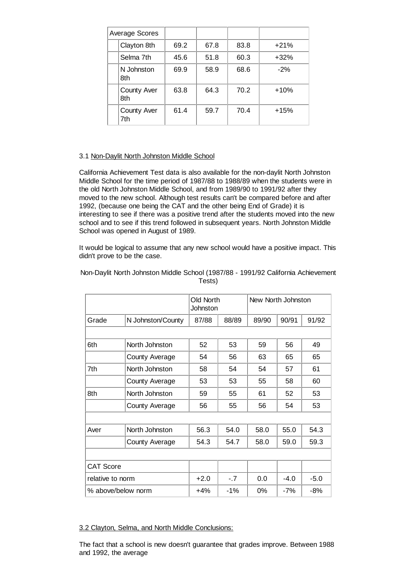| Average Scores |                           |      |      |      |        |
|----------------|---------------------------|------|------|------|--------|
|                | Clayton 8th               | 69.2 | 67.8 | 83.8 | $+21%$ |
|                | Selma 7th                 | 45.6 | 51.8 | 60.3 | $+32%$ |
|                | N Johnston<br>8th         | 69.9 | 58.9 | 68.6 | $-2%$  |
|                | <b>County Aver</b><br>8th | 63.8 | 64.3 | 70.2 | $+10%$ |
|                | <b>County Aver</b><br>7th | 61.4 | 59.7 | 70.4 | $+15%$ |

#### 3.1 Non-Daylit North Johnston Middle School

California Achievement Test data is also available for the non-daylit North Johnston Middle School for the time period of 1987/88 to 1988/89 when the students were in the old North Johnston Middle School, and from 1989/90 to 1991/92 after they moved to the new school. Although test results can't be compared before and after 1992, (because one being the CAT and the other being End of Grade) it is interesting to see if there was a positive trend after the students moved into the new school and to see if this trend followed in subsequent years. North Johnston Middle School was opened in August of 1989.

It would be logical to assume that any new school would have a positive impact. This didn't prove to be the case.

|                    |                   | Old North<br>Johnston |       | New North Johnston |        |        |  |
|--------------------|-------------------|-----------------------|-------|--------------------|--------|--------|--|
| Grade              | N Johnston/County |                       | 88/89 | 89/90              | 90/91  | 91/92  |  |
|                    |                   |                       |       |                    |        |        |  |
| 6th                | North Johnston    | 52                    | 53    | 59                 | 56     | 49     |  |
|                    | County Average    | 54                    | 56    | 63                 | 65     | 65     |  |
| 7th                | North Johnston    | 58                    | 54    | 54                 | 57     | 61     |  |
|                    | County Average    | 53                    | 53    | 55                 | 58     | 60     |  |
| 8th                | North Johnston    | 59                    | 55    | 61                 | 52     | 53     |  |
|                    | County Average    | 56                    | 55    | 56                 | 54     | 53     |  |
|                    |                   |                       |       |                    |        |        |  |
| Aver               | North Johnston    | 56.3                  | 54.0  | 58.0               | 55.0   | 54.3   |  |
|                    | County Average    | 54.3                  | 54.7  | 58.0               | 59.0   | 59.3   |  |
|                    |                   |                       |       |                    |        |        |  |
| <b>CAT Score</b>   |                   |                       |       |                    |        |        |  |
| relative to norm   |                   | $+2.0$                | $-.7$ | 0.0                | $-4.0$ | $-5.0$ |  |
| % above/below norm |                   | $+4%$                 | $-1%$ | 0%                 | -7%    | $-8%$  |  |

Non-Daylit North Johnston Middle School (1987/88 - 1991/92 California Achievement Tests)

#### 3.2 Clayton, Selma, and North Middle Conclusions:

The fact that a school is new doesn't guarantee that grades improve. Between 1988 and 1992, the average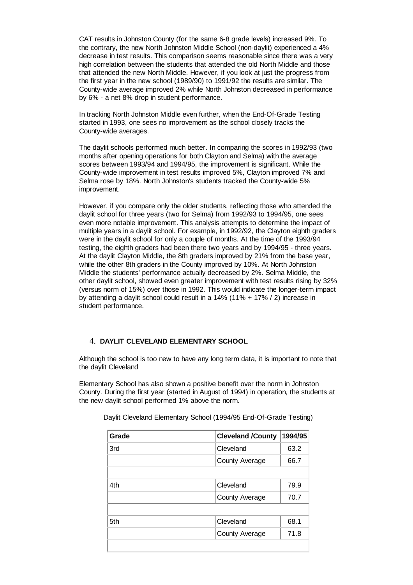CAT results in Johnston County (for the same 6-8 grade levels) increased 9%. To the contrary, the new North Johnston Middle School (non-daylit) experienced a 4% decrease in test results. This comparison seems reasonable since there was a very high correlation between the students that attended the old North Middle and those that attended the new North Middle. However, if you look at just the progress from the first year in the new school (1989/90) to 1991/92 the results are similar. The County-wide average improved 2% while North Johnston decreased in performance by 6% - a net 8% drop in student performance.

In tracking North Johnston Middle even further, when the End-Of-Grade Testing started in 1993, one sees no improvement as the school closely tracks the County-wide averages.

The daylit schools performed much better. In comparing the scores in 1992/93 (two months after opening operations for both Clayton and Selma) with the average scores between 1993/94 and 1994/95, the improvement is significant. While the County-wide improvement in test results improved 5%, Clayton improved 7% and Selma rose by 18%. North Johnston's students tracked the County-wide 5% improvement.

However, if you compare only the older students, reflecting those who attended the daylit school for three years (two for Selma) from 1992/93 to 1994/95, one sees even more notable improvement. This analysis attempts to determine the impact of multiple years in a daylit school. For example, in 1992/92, the Clayton eighth graders were in the daylit school for only a couple of months. At the time of the 1993/94 testing, the eighth graders had been there two years and by 1994/95 - three years. At the daylit Clayton Middle, the 8th graders improved by 21% from the base year, while the other 8th graders in the County improved by 10%. At North Johnston Middle the students' performance actually decreased by 2%. Selma Middle, the other daylit school, showed even greater improvement with test results rising by 32% (versus norm of 15%) over those in 1992. This would indicate the longer-term impact by attending a daylit school could result in a 14% (11% + 17% / 2) increase in student performance.

## 4. **DAYLIT CLEVELAND ELEMENTARY SCHOOL**

Although the school is too new to have any long term data, it is important to note that the daylit Cleveland

Elementary School has also shown a positive benefit over the norm in Johnston County. During the first year (started in August of 1994) in operation, the students at the new daylit school performed 1% above the norm.

| Grade | <b>Cleveland /County</b> | 1994/95 |
|-------|--------------------------|---------|
| 3rd   | Cleveland                |         |
|       | County Average           | 66.7    |
|       |                          |         |
| 4th   | Cleveland                | 79.9    |
|       | County Average           | 70.7    |
|       |                          |         |
| 5th   | Cleveland                | 68.1    |
|       | County Average           | 71.8    |
|       |                          |         |

Daylit Cleveland Elementary School (1994/95 End-Of-Grade Testing)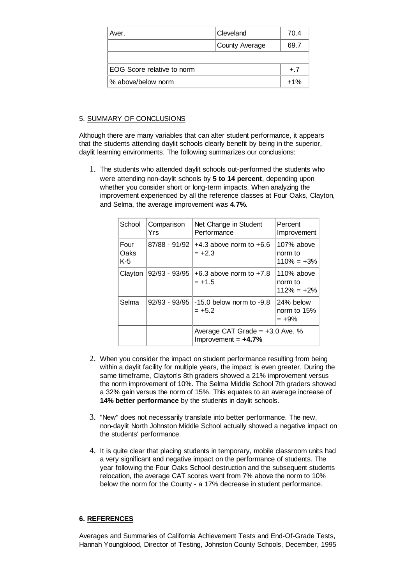| Aver.                      | Cleveland      | 70.4  |
|----------------------------|----------------|-------|
|                            | County Average | 69.7  |
|                            |                |       |
| EOG Score relative to norm |                | $+.7$ |
| % above/below norm         |                | $+1%$ |

## 5. SUMMARY OF CONCLUSIONS

Although there are many variables that can alter student performance, it appears that the students attending daylit schools clearly benefit by being in the superior, daylit learning environments. The following summarizes our conclusions:

1. The students who attended daylit schools out-performed the students who were attending non-daylit schools by **5 to 14 percent**, depending upon whether you consider short or long-term impacts. When analyzing the improvement experienced by all the reference classes at Four Oaks, Clayton, and Selma, the average improvement was **4.7%**.

| School                | Comparison<br>Yrs | Net Change in Student<br>Performance                       | Percent<br>Improvement                  |
|-----------------------|-------------------|------------------------------------------------------------|-----------------------------------------|
| Four<br>Oaks<br>$K-5$ | 87/88 - 91/92     | $+4.3$ above norm to $+6.6$<br>$= +2.3$                    | 107% above<br>norm to<br>$110\% = +3\%$ |
| Clayton               | 92/93 - 93/95     | $+6.3$ above norm to $+7.8$<br>$= +1.5$                    | 110% above<br>norm to<br>$112\% = +2\%$ |
| Selma                 | $92/93 - 93/95$   | $-15.0$ below norm to $-9.8$<br>$= +5.2$                   | 24% below<br>norm to $15%$<br>$= +9\%$  |
|                       |                   | Average CAT Grade $= +3.0$ Ave. %<br>Improvement = $+4.7%$ |                                         |

- When you consider the impact on student performance resulting from being 2. within a daylit facility for multiple years, the impact is even greater. During the same timeframe, Clayton's 8th graders showed a 21% improvement versus the norm improvement of 10%. The Selma Middle School 7th graders showed a 32% gain versus the norm of 15%. This equates to an average increase of **14% better performance** by the students in daylit schools.
- 3. "New" does not necessarily translate into better performance. The new, non-daylit North Johnston Middle School actually showed a negative impact on the students' performance.
- 4. It is quite clear that placing students in temporary, mobile classroom units had a very significant and negative impact on the performance of students. The year following the Four Oaks School destruction and the subsequent students relocation, the average CAT scores went from 7% above the norm to 10% below the norm for the County - a 17% decrease in student performance.

## **6. REFERENCES**

Averages and Summaries of California Achievement Tests and End-Of-Grade Tests, Hannah Youngblood, Director of Testing, Johnston County Schools, December, 1995